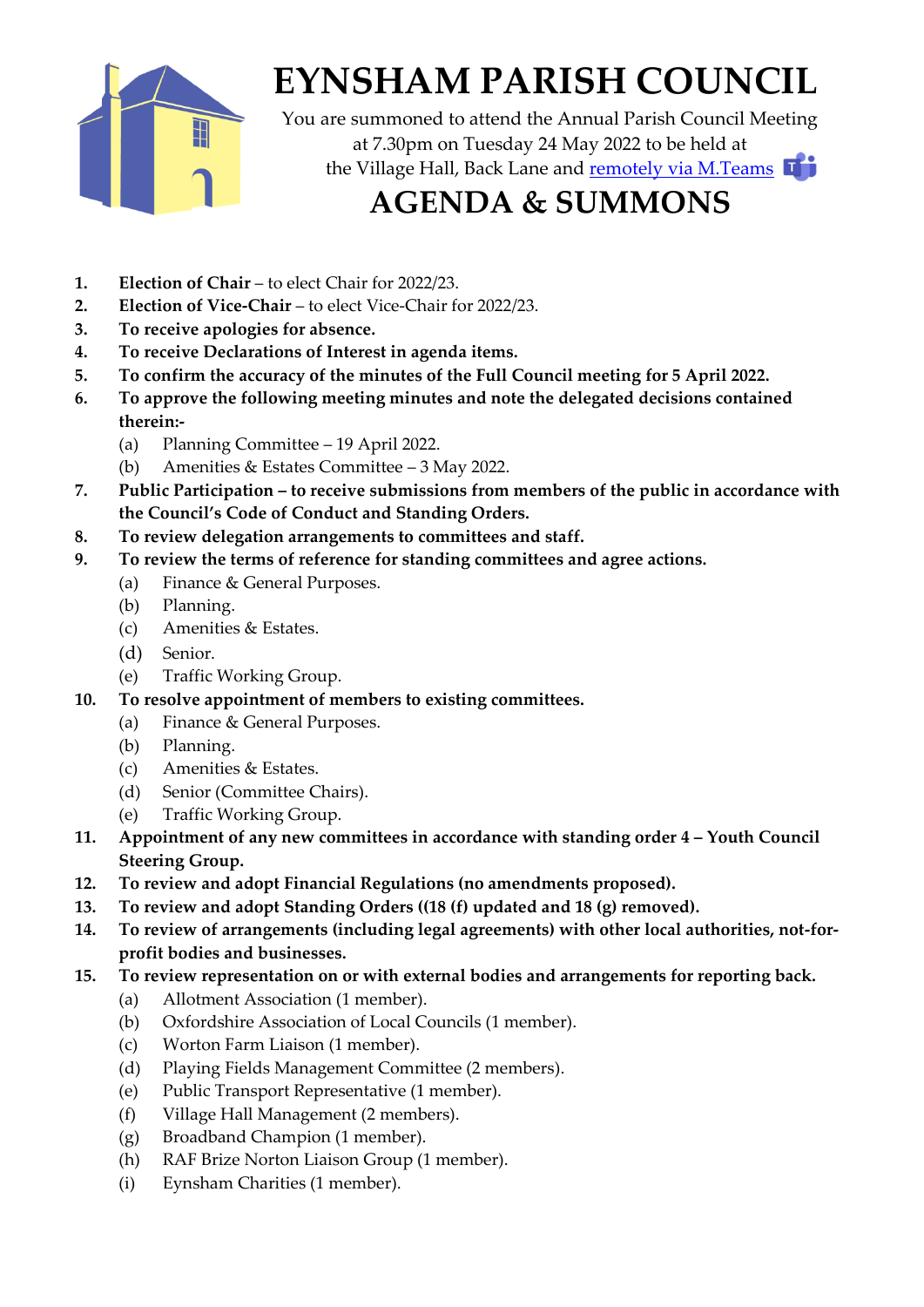

# **EYNSHAM PARISH COUNCIL**

You are summoned to attend the Annual Parish Council Meeting at 7.30pm on Tuesday 24 May 2022 to be held at the Village Hall, Back Lane and [remotely via M.Teams](https://teams.microsoft.com/l/meetup-join/19%3a5e26b79ec05143d598b1d0611844f0f6%40thread.tacv2/1652789764203?context=%7b%22Tid%22%3a%22b9139a2a-30dc-4e29-b44f-ac5dd2983510%22%2c%22Oid%22%3a%2261de3ab3-d51a-42bc-b061-5593f9533ed6%22%7d)

## **AGENDA & SUMMONS**

- **1. Election of Chair** to elect Chair for 2022/23.
- **2. Election of Vice-Chair** to elect Vice-Chair for 2022/23.
- **3. To receive apologies for absence.**
- **4. To receive Declarations of Interest in agenda items.**
- **5. To confirm the accuracy of the minutes of the Full Council meeting for 5 April 2022.**
- **6. To approve the following meeting minutes and note the delegated decisions contained therein:-**
	- (a) Planning Committee 19 April 2022.
	- (b) Amenities  $&$  Estates Committee 3 May 2022.
- **7. Public Participation – to receive submissions from members of the public in accordance with the Council's Code of Conduct and Standing Orders.**
- **8. To review delegation arrangements to committees and staff.**
- **9. To review the terms of reference for standing committees and agree actions.**
	- (a) Finance & General Purposes.
	- (b) Planning.
	- (c) Amenities & Estates.
	- (d) Senior.
	- (e) Traffic Working Group.
- **10. To resolve appointment of members to existing committees.**
	- (a) Finance & General Purposes.
	- (b) Planning.
	- (c) Amenities & Estates.
	- (d) Senior (Committee Chairs).
	- (e) Traffic Working Group.
- **11. Appointment of any new committees in accordance with standing order 4 – Youth Council Steering Group.**
- **12. To review and adopt Financial Regulations (no amendments proposed).**
- **13. To review and adopt Standing Orders ((18 (f) updated and 18 (g) removed).**
- **14. To review of arrangements (including legal agreements) with other local authorities, not-forprofit bodies and businesses.**
- **15. To review representation on or with external bodies and arrangements for reporting back.**
	- (a) Allotment Association (1 member).
	- (b) Oxfordshire Association of Local Councils (1 member).
	- (c) Worton Farm Liaison (1 member).
	- (d) Playing Fields Management Committee (2 members).
	- (e) Public Transport Representative (1 member).
	- (f) Village Hall Management (2 members).
	- (g) Broadband Champion (1 member).
	- (h) RAF Brize Norton Liaison Group (1 member).
	- (i) Eynsham Charities (1 member).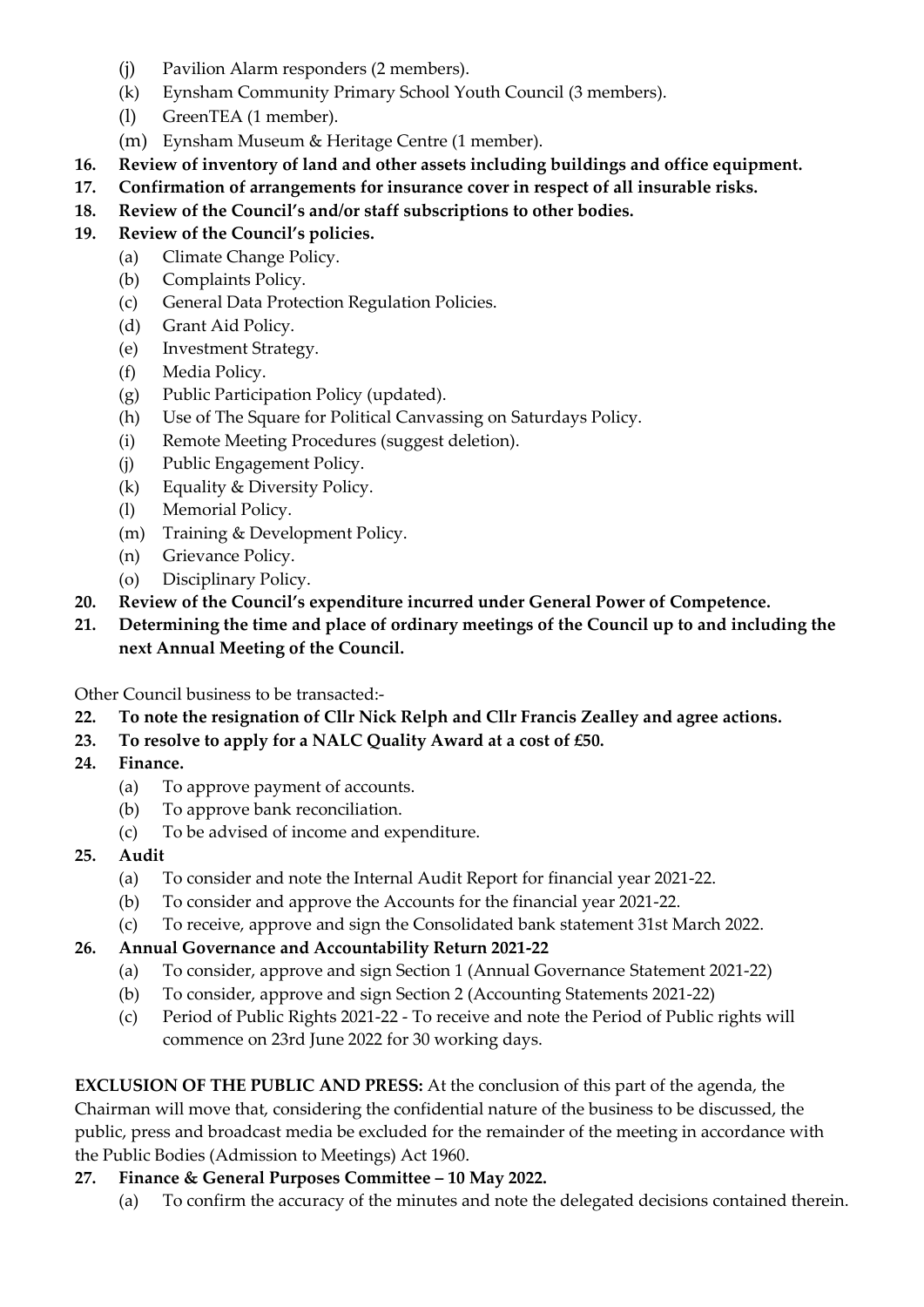- (j) Pavilion Alarm responders (2 members).
- (k) Eynsham Community Primary School Youth Council (3 members).
- (l) GreenTEA (1 member).
- (m) Eynsham Museum & Heritage Centre (1 member).
- **16. Review of inventory of land and other assets including buildings and office equipment.**
- **17. Confirmation of arrangements for insurance cover in respect of all insurable risks.**
- **18. Review of the Council's and/or staff subscriptions to other bodies.**

#### **19. Review of the Council's policies.**

- (a) Climate Change Policy.
	- (b) Complaints Policy.
	- (c) General Data Protection Regulation Policies.
	- (d) Grant Aid Policy.
	- (e) Investment Strategy.
	- (f) Media Policy.
	- (g) Public Participation Policy (updated).
	- (h) Use of The Square for Political Canvassing on Saturdays Policy.
	- (i) Remote Meeting Procedures (suggest deletion).
	- (j) Public Engagement Policy.
	- (k) Equality & Diversity Policy.
	- (l) Memorial Policy.
	- (m) Training & Development Policy.
	- (n) Grievance Policy.
	- (o) Disciplinary Policy.
- **20. Review of the Council's expenditure incurred under General Power of Competence.**
- **21. Determining the time and place of ordinary meetings of the Council up to and including the next Annual Meeting of the Council.**

Other Council business to be transacted:-

- **22. To note the resignation of Cllr Nick Relph and Cllr Francis Zealley and agree actions.**
- **23. To resolve to apply for a NALC Quality Award at a cost of £50.**
- **24. Finance.**
	- (a) To approve payment of accounts.
	- (b) To approve bank reconciliation.
	- (c) To be advised of income and expenditure.
- **25. Audit**
	- (a) To consider and note the Internal Audit Report for financial year 2021-22.
	- (b) To consider and approve the Accounts for the financial year 2021-22.
	- (c) To receive, approve and sign the Consolidated bank statement 31st March 2022.

### **26. Annual Governance and Accountability Return 2021-22**

- (a) To consider, approve and sign Section 1 (Annual Governance Statement 2021-22)
- (b) To consider, approve and sign Section 2 (Accounting Statements 2021-22)
- (c) Period of Public Rights 2021-22 To receive and note the Period of Public rights will commence on 23rd June 2022 for 30 working days.

**EXCLUSION OF THE PUBLIC AND PRESS:** At the conclusion of this part of the agenda, the Chairman will move that, considering the confidential nature of the business to be discussed, the public, press and broadcast media be excluded for the remainder of the meeting in accordance with the Public Bodies (Admission to Meetings) Act 1960.

#### **27. Finance & General Purposes Committee – 10 May 2022.**

(a) To confirm the accuracy of the minutes and note the delegated decisions contained therein.